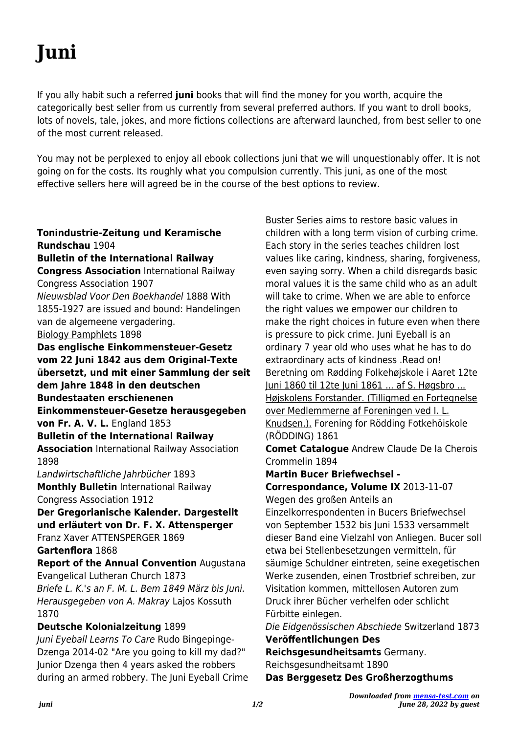If you ally habit such a referred **juni** books that will find the money for you worth, acquire the categorically best seller from us currently from several preferred authors. If you want to droll books, lots of novels, tale, jokes, and more fictions collections are afterward launched, from best seller to one of the most current released.

You may not be perplexed to enjoy all ebook collections juni that we will unquestionably offer. It is not going on for the costs. Its roughly what you compulsion currently. This juni, as one of the most effective sellers here will agreed be in the course of the best options to review.

**Tonindustrie-Zeitung und Keramische Rundschau** 1904 **Bulletin of the International Railway Congress Association** International Railway Congress Association 1907 Nieuwsblad Voor Den Boekhandel 1888 With 1855-1927 are issued and bound: Handelingen van de algemeene vergadering. Biology Pamphlets 1898 **Das englische Einkommensteuer-Gesetz vom 22 Juni 1842 aus dem Original-Texte übersetzt, und mit einer Sammlung der seit dem Jahre 1848 in den deutschen Bundestaaten erschienenen Einkommensteuer-Gesetze herausgegeben von Fr. A. V. L.** England 1853 **Bulletin of the International Railway Association** International Railway Association 1898 Landwirtschaftliche Jahrbücher 1893 **Monthly Bulletin** International Railway Congress Association 1912 **Der Gregorianische Kalender. Dargestellt und erläutert von Dr. F. X. Attensperger** Franz Xaver ATTENSPERGER 1869 **Gartenflora** 1868 **Report of the Annual Convention** Augustana Evangelical Lutheran Church 1873 Briefe L. K.'s an F. M. L. Bem 1849 März bis Juni. Herausgegeben von A. Makray Lajos Kossuth 1870 **Deutsche Kolonialzeitung** 1899 Juni Eyeball Learns To Care Rudo Bingepinge-

Dzenga 2014-02 "Are you going to kill my dad?" Junior Dzenga then 4 years asked the robbers during an armed robbery. The Juni Eyeball Crime

Buster Series aims to restore basic values in children with a long term vision of curbing crime. Each story in the series teaches children lost values like caring, kindness, sharing, forgiveness, even saying sorry. When a child disregards basic moral values it is the same child who as an adult will take to crime. When we are able to enforce the right values we empower our children to make the right choices in future even when there is pressure to pick crime. Juni Eyeball is an ordinary 7 year old who uses what he has to do extraordinary acts of kindness .Read on! Beretning om Rødding Folkehøjskole i Aaret 12te Juni 1860 til 12te Juni 1861 ... af S. Høgsbro ... Højskolens Forstander. (Tilligmed en Fortegnelse over Medlemmerne af Foreningen ved I. L. Knudsen.). Forening for Rödding Fotkehöiskole (RÖDDING) 1861

**Comet Catalogue** Andrew Claude De la Cherois Crommelin 1894

**Martin Bucer Briefwechsel - Correspondance, Volume IX** 2013-11-07

Wegen des großen Anteils an

Einzelkorrespondenten in Bucers Briefwechsel von September 1532 bis Juni 1533 versammelt dieser Band eine Vielzahl von Anliegen. Bucer soll etwa bei Stellenbesetzungen vermitteln, für säumige Schuldner eintreten, seine exegetischen Werke zusenden, einen Trostbrief schreiben, zur Visitation kommen, mittellosen Autoren zum Druck ihrer Bücher verhelfen oder schlicht Fürbitte einlegen.

Die Eidgenössischen Abschiede Switzerland 1873

**Veröffentlichungen Des**

**Reichsgesundheitsamts** Germany.

Reichsgesundheitsamt 1890

**Das Berggesetz Des Großherzogthums**